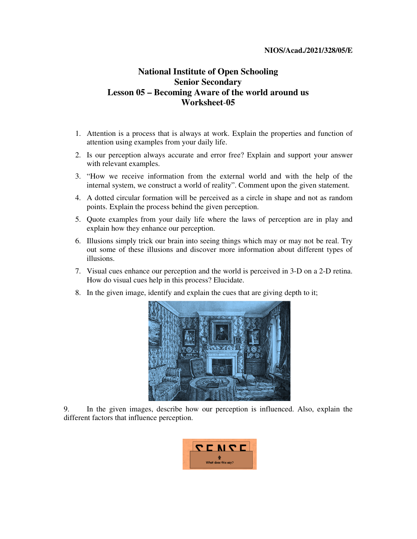## **NIOS/Acad./2021/328/05/E**

## **National Institute of Open Schooling Senior Secondary Lesson 05 – Becoming Aware of the world around us Worksheet**-**05**

- 1. Attention is a process that is always at work. Explain the properties and function of attention using examples from your daily life.
- 2. Is our perception always accurate and error free? Explain and support your answer with relevant examples.
- 3. "How we receive information from the external world and with the help of the internal system, we construct a world of reality". Comment upon the given statement.
- 4. A dotted circular formation will be perceived as a circle in shape and not as random points. Explain the process behind the given perception.
- 5. Quote examples from your daily life where the laws of perception are in play and explain how they enhance our perception.
- 6. Illusions simply trick our brain into seeing things which may or may not be real. Try out some of these illusions and discover more information about different types of illusions.
- 7. Visual cues enhance our perception and the world is perceived in 3-D on a 2-D retina. How do visual cues help in this process? Elucidate.
- 8. In the given image, identify and explain the cues that are giving depth to it;



9. In the given images, describe how our perception is influenced. Also, explain the different factors that influence perception.